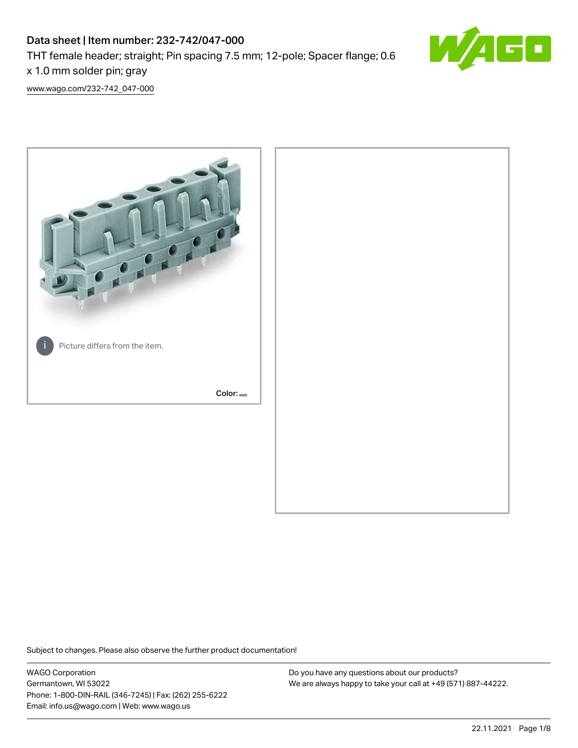# Data sheet | Item number: 232-742/047-000 THT female header; straight; Pin spacing 7.5 mm; 12-pole; Spacer flange; 0.6 x 1.0 mm solder pin; gray



[www.wago.com/232-742\\_047-000](http://www.wago.com/232-742_047-000)



Subject to changes. Please also observe the further product documentation!

WAGO Corporation Germantown, WI 53022 Phone: 1-800-DIN-RAIL (346-7245) | Fax: (262) 255-6222 Email: info.us@wago.com | Web: www.wago.us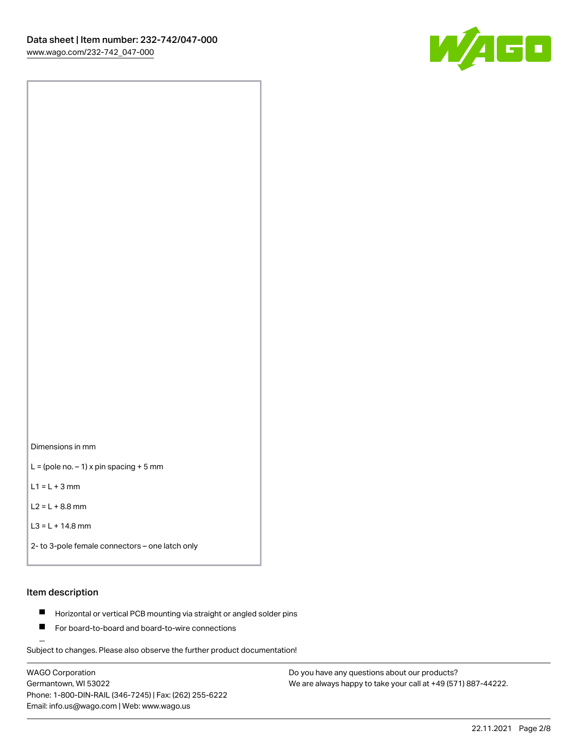

Dimensions in mm

 $L =$  (pole no.  $-1$ ) x pin spacing + 5 mm

 $L1 = L + 3$  mm

 $L2 = L + 8.8$  mm

```
L3 = L + 14.8 mm
```
2- to 3-pole female connectors – one latch only

#### Item description

- **Horizontal or vertical PCB mounting via straight or angled solder pins**
- For board-to-board and board-to-wire connections

Subject to changes. Please also observe the further product documentation!

WAGO Corporation Germantown, WI 53022 Phone: 1-800-DIN-RAIL (346-7245) | Fax: (262) 255-6222 Email: info.us@wago.com | Web: www.wago.us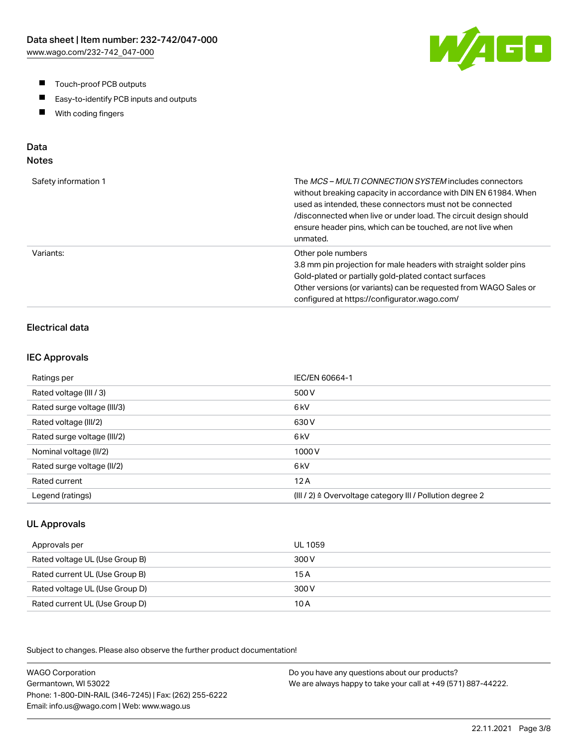- $\blacksquare$ Touch-proof PCB outputs
- $\blacksquare$ Easy-to-identify PCB inputs and outputs
- With coding fingers  $\blacksquare$

# Data

# Notes

| Safety information 1 | The MCS-MULTI CONNECTION SYSTEM includes connectors<br>without breaking capacity in accordance with DIN EN 61984. When<br>used as intended, these connectors must not be connected<br>/disconnected when live or under load. The circuit design should<br>ensure header pins, which can be touched, are not live when<br>unmated. |
|----------------------|-----------------------------------------------------------------------------------------------------------------------------------------------------------------------------------------------------------------------------------------------------------------------------------------------------------------------------------|
| Variants:            | Other pole numbers<br>3.8 mm pin projection for male headers with straight solder pins<br>Gold-plated or partially gold-plated contact surfaces<br>Other versions (or variants) can be requested from WAGO Sales or<br>configured at https://configurator.wago.com/                                                               |

## Electrical data

#### IEC Approvals

| Ratings per                 | IEC/EN 60664-1                                                       |
|-----------------------------|----------------------------------------------------------------------|
| Rated voltage (III / 3)     | 500 V                                                                |
| Rated surge voltage (III/3) | 6 <sub>kV</sub>                                                      |
| Rated voltage (III/2)       | 630 V                                                                |
| Rated surge voltage (III/2) | 6 <sub>k</sub> V                                                     |
| Nominal voltage (II/2)      | 1000V                                                                |
| Rated surge voltage (II/2)  | 6 <sub>k</sub> V                                                     |
| Rated current               | 12A                                                                  |
| Legend (ratings)            | (III / 2) $\triangleq$ Overvoltage category III / Pollution degree 2 |

#### UL Approvals

| Approvals per                  | UL 1059 |
|--------------------------------|---------|
| Rated voltage UL (Use Group B) | 300 V   |
| Rated current UL (Use Group B) | 15 A    |
| Rated voltage UL (Use Group D) | 300 V   |
| Rated current UL (Use Group D) | 10 A    |

Subject to changes. Please also observe the further product documentation!

WAGO Corporation Germantown, WI 53022 Phone: 1-800-DIN-RAIL (346-7245) | Fax: (262) 255-6222 Email: info.us@wago.com | Web: www.wago.us Do you have any questions about our products? We are always happy to take your call at +49 (571) 887-44222.

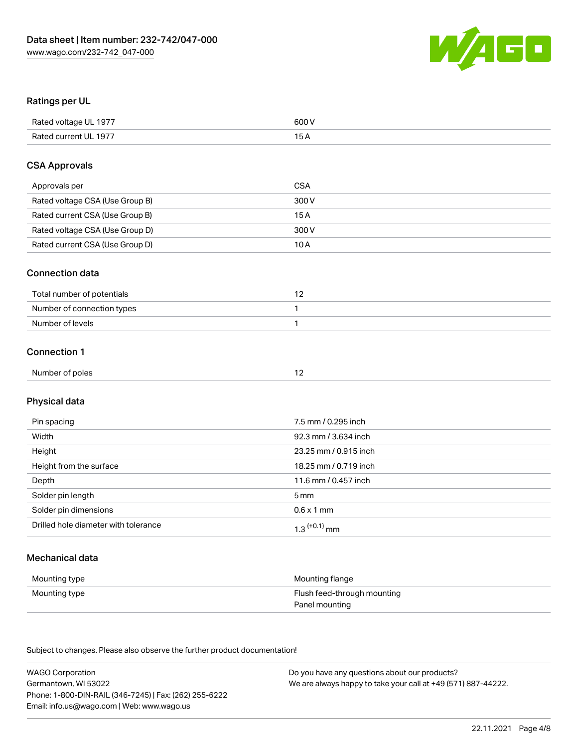

#### Ratings per UL

| Rated voltage UL 1977 | 600 V |
|-----------------------|-------|
| Rated current UL 1977 | ЭA    |

#### CSA Approvals

| Approvals per                   | <b>CSA</b> |
|---------------------------------|------------|
| Rated voltage CSA (Use Group B) | 300 V      |
| Rated current CSA (Use Group B) | 15 A       |
| Rated voltage CSA (Use Group D) | 300 V      |
| Rated current CSA (Use Group D) | 10 A       |

#### Connection data

| Total number of potentials |  |
|----------------------------|--|
| Number of connection types |  |
| Number of levels           |  |

# Connection 1

| Number of poles |  |
|-----------------|--|
|-----------------|--|

# Physical data

| Pin spacing                          | 7.5 mm / 0.295 inch   |
|--------------------------------------|-----------------------|
| Width                                | 92.3 mm / 3.634 inch  |
| Height                               | 23.25 mm / 0.915 inch |
| Height from the surface              | 18.25 mm / 0.719 inch |
| Depth                                | 11.6 mm / 0.457 inch  |
| Solder pin length                    | 5 mm                  |
| Solder pin dimensions                | $0.6 \times 1$ mm     |
| Drilled hole diameter with tolerance | $1.3$ $(+0.1)$ mm     |

# Mechanical data

| Mounting type | Mounting flange             |
|---------------|-----------------------------|
| Mounting type | Flush feed-through mounting |
|               | Panel mounting              |

Subject to changes. Please also observe the further product documentation!

| <b>WAGO Corporation</b>                                | Do you have any questions about our products?                 |
|--------------------------------------------------------|---------------------------------------------------------------|
| Germantown, WI 53022                                   | We are always happy to take your call at +49 (571) 887-44222. |
| Phone: 1-800-DIN-RAIL (346-7245)   Fax: (262) 255-6222 |                                                               |
| Email: info.us@wago.com   Web: www.wago.us             |                                                               |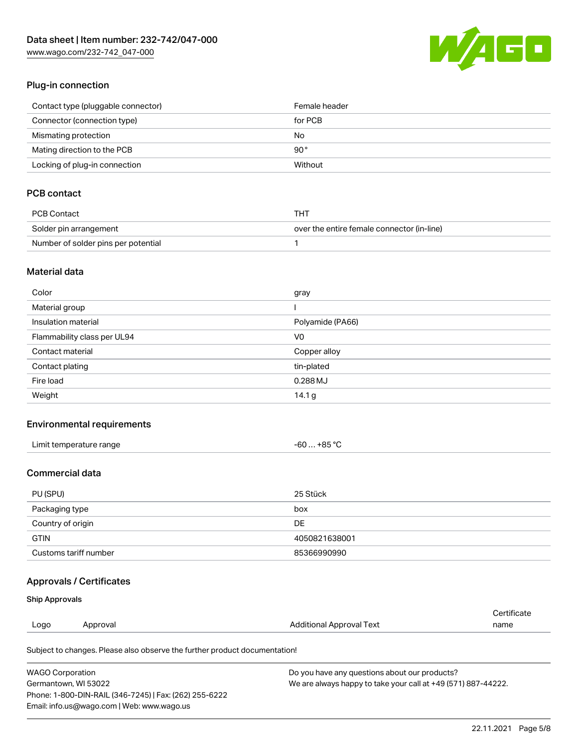[www.wago.com/232-742\\_047-000](http://www.wago.com/232-742_047-000)



#### Plug-in connection

| Contact type (pluggable connector) | Female header |
|------------------------------------|---------------|
| Connector (connection type)        | for PCB       |
| Mismating protection               | No            |
| Mating direction to the PCB        | 90 °          |
| Locking of plug-in connection      | Without       |

# PCB contact

| PCB Contact                         | THT                                        |
|-------------------------------------|--------------------------------------------|
| Solder pin arrangement              | over the entire female connector (in-line) |
| Number of solder pins per potential |                                            |

#### Material data

| Color                       | gray              |
|-----------------------------|-------------------|
| Material group              |                   |
| Insulation material         | Polyamide (PA66)  |
| Flammability class per UL94 | V <sub>0</sub>    |
| Contact material            | Copper alloy      |
| Contact plating             | tin-plated        |
| Fire load                   | 0.288 MJ          |
| Weight                      | 14.1 <sub>g</sub> |

#### Environmental requirements

| Limit temperature range | -60 … +85 °C |
|-------------------------|--------------|
|-------------------------|--------------|

# Commercial data

| PU (SPU)              | 25 Stück      |
|-----------------------|---------------|
| Packaging type        | box           |
| Country of origin     | DE            |
| <b>GTIN</b>           | 4050821638001 |
| Customs tariff number | 85366990990   |

## Approvals / Certificates

#### Ship Approvals

| Logo | Approval | Additional Approval Text | name        |
|------|----------|--------------------------|-------------|
|      |          |                          | Certificate |

Subject to changes. Please also observe the further product documentation!

| <b>WAGO Corporation</b>                                | Do you have any questions about our products?                 |
|--------------------------------------------------------|---------------------------------------------------------------|
| Germantown, WI 53022                                   | We are always happy to take your call at +49 (571) 887-44222. |
| Phone: 1-800-DIN-RAIL (346-7245)   Fax: (262) 255-6222 |                                                               |
| Email: info.us@wago.com   Web: www.wago.us             |                                                               |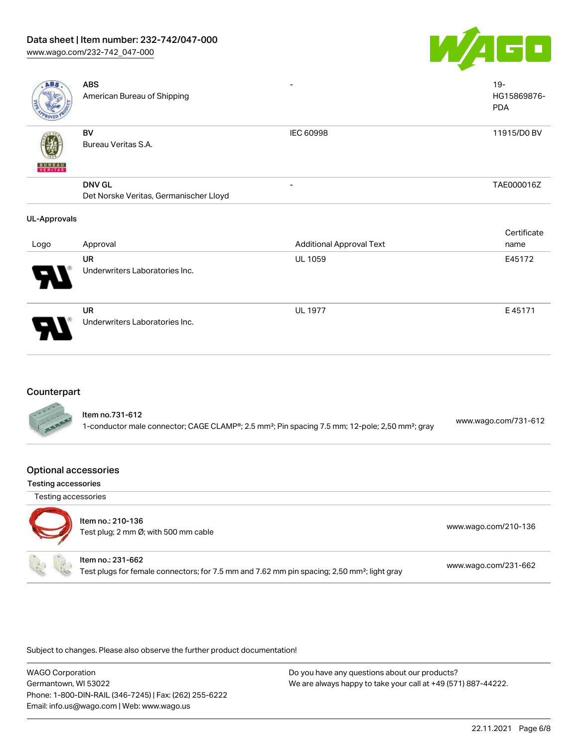#### Data sheet | Item number: 232-742/047-000

[www.wago.com/232-742\\_047-000](http://www.wago.com/232-742_047-000)



| <b>ABS</b>          | <b>ABS</b><br>American Bureau of Shipping               |                                 | $19-$<br>HG15869876-<br><b>PDA</b> |
|---------------------|---------------------------------------------------------|---------------------------------|------------------------------------|
| <b>BUNEAU</b>       | BV<br>Bureau Veritas S.A.                               | <b>IEC 60998</b>                | 11915/D0 BV                        |
|                     | <b>DNV GL</b><br>Det Norske Veritas, Germanischer Lloyd |                                 | TAE000016Z                         |
| <b>UL-Approvals</b> |                                                         |                                 |                                    |
|                     |                                                         |                                 | Certificate                        |
| Logo                | Approval                                                | <b>Additional Approval Text</b> | name                               |
|                     | UR                                                      | <b>UL 1059</b>                  | E45172                             |
|                     | Underwriters Laboratories Inc.                          |                                 |                                    |
|                     | UR                                                      | <b>UL 1977</b>                  | E45171                             |

## **Counterpart**

| ltem no.731-612                                                                                                         | www.wago.com/731-612 |
|-------------------------------------------------------------------------------------------------------------------------|----------------------|
| 1-conductor male connector; CAGE CLAMP®; 2.5 mm <sup>2</sup> ; Pin spacing 7.5 mm; 12-pole; 2,50 mm <sup>2</sup> ; gray |                      |

#### Optional accessories

| Testing accessories |  |
|---------------------|--|
|---------------------|--|

Testing accessories



# Item no.: 210-136

Underwriters Laboratories Inc.

Test plug; 2 no-136<br>Test plug; 2 mm Ø; with 500 mm cable [www.wago.com/210-136](http://www.wago.com/210-136) Item no.: 231-662

Test plugs for female connectors; for 7.5 mm and 7.62 mm pin spacing; 2,50 mm²; light gray [www.wago.com/231-662](http://www.wago.com/231-662)

Subject to changes. Please also observe the further product documentation!

WAGO Corporation Germantown, WI 53022 Phone: 1-800-DIN-RAIL (346-7245) | Fax: (262) 255-6222 Email: info.us@wago.com | Web: www.wago.us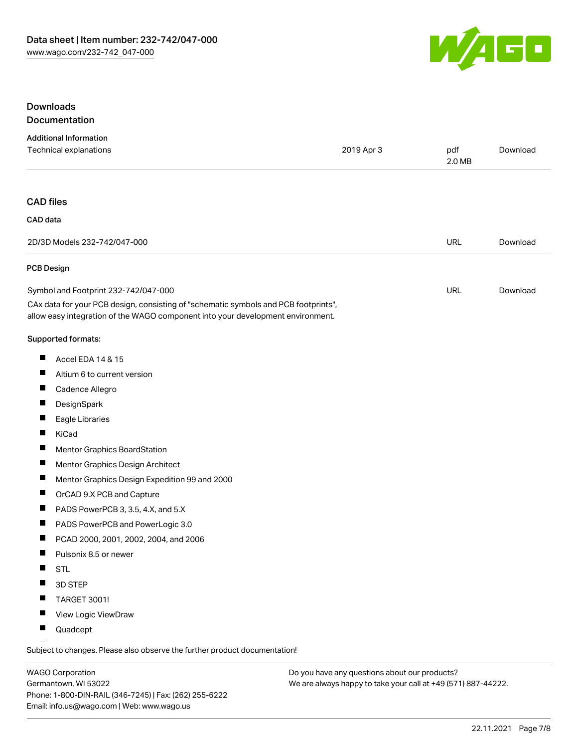

## Downloads Documentation

| <b>Additional Information</b>                                                                                                                                          |            |               |          |
|------------------------------------------------------------------------------------------------------------------------------------------------------------------------|------------|---------------|----------|
| Technical explanations                                                                                                                                                 | 2019 Apr 3 | pdf<br>2.0 MB | Download |
|                                                                                                                                                                        |            |               |          |
| <b>CAD files</b>                                                                                                                                                       |            |               |          |
| CAD data                                                                                                                                                               |            |               |          |
| 2D/3D Models 232-742/047-000                                                                                                                                           |            | <b>URL</b>    | Download |
| <b>PCB Design</b>                                                                                                                                                      |            |               |          |
| Symbol and Footprint 232-742/047-000                                                                                                                                   |            | <b>URL</b>    | Download |
| CAx data for your PCB design, consisting of "schematic symbols and PCB footprints",<br>allow easy integration of the WAGO component into your development environment. |            |               |          |
| Supported formats:                                                                                                                                                     |            |               |          |
| ш<br>Accel EDA 14 & 15                                                                                                                                                 |            |               |          |
| Ш<br>Altium 6 to current version                                                                                                                                       |            |               |          |
| ш<br>Cadence Allegro                                                                                                                                                   |            |               |          |
| ш<br>DesignSpark                                                                                                                                                       |            |               |          |
| П<br>Eagle Libraries                                                                                                                                                   |            |               |          |
| ш<br>KiCad                                                                                                                                                             |            |               |          |
| Ш<br>Mentor Graphics BoardStation                                                                                                                                      |            |               |          |
| Ц<br>Mentor Graphics Design Architect                                                                                                                                  |            |               |          |
| Ш<br>Mentor Graphics Design Expedition 99 and 2000                                                                                                                     |            |               |          |
| Ш<br>OrCAD 9.X PCB and Capture                                                                                                                                         |            |               |          |
| ш<br>PADS PowerPCB 3, 3.5, 4.X, and 5.X                                                                                                                                |            |               |          |
| ш<br>PADS PowerPCB and PowerLogic 3.0                                                                                                                                  |            |               |          |
| PCAD 2000, 2001, 2002, 2004, and 2006                                                                                                                                  |            |               |          |
| ш<br>Pulsonix 8.5 or newer                                                                                                                                             |            |               |          |
| ш<br><b>STL</b>                                                                                                                                                        |            |               |          |
| 3D STEP                                                                                                                                                                |            |               |          |
| TARGET 3001!                                                                                                                                                           |            |               |          |
| View Logic ViewDraw<br>ш                                                                                                                                               |            |               |          |
| Quadcept                                                                                                                                                               |            |               |          |

.<br>Subject to changes. Please also observe the further product documentation!

WAGO Corporation Germantown, WI 53022 Phone: 1-800-DIN-RAIL (346-7245) | Fax: (262) 255-6222 Email: info.us@wago.com | Web: www.wago.us